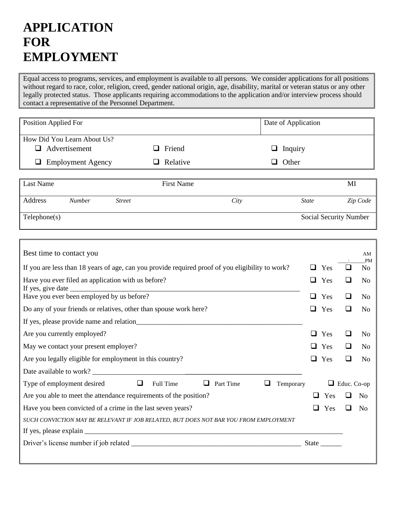# **APPLICATION FOR EMPLOYMENT**

Equal access to programs, services, and employment is available to all persons. We consider applications for all positions without regard to race, color, religion, creed, gender national origin, age, disability, marital or veteran status or any other legally protected status. Those applicants requiring accommodations to the application and/or interview process should contact a representative of the Personnel Department.

| Position Applied For          |                   |                | Date of Application |                        |
|-------------------------------|-------------------|----------------|---------------------|------------------------|
| How Did You Learn About Us?   |                   |                |                     |                        |
| Advertisement<br>$\Box$       | Friend            | $\Box$ Inquiry |                     |                        |
| <b>Employment Agency</b><br>⊔ | Relative          | Other<br>⊔     |                     |                        |
|                               |                   |                |                     |                        |
| Last Name                     | <b>First Name</b> |                |                     | MI                     |
| Address<br><b>Number</b>      | <b>Street</b>     | City           | <b>State</b>        | Zip Code               |
| Telephone(s)                  |                   |                |                     | Social Security Number |

| Best time to contact you                                                                         |   |            |             | AM<br><b>PM</b> |  |
|--------------------------------------------------------------------------------------------------|---|------------|-------------|-----------------|--|
| If you are less than 18 years of age, can you provide required proof of you eligibility to work? |   | Yes        |             | N <sub>o</sub>  |  |
| Have you ever filed an application with us before?                                               | ப | Yes<br>Yes |             | N <sub>o</sub>  |  |
| Have you ever been employed by us before?                                                        |   |            | ப           | N <sub>0</sub>  |  |
| Do any of your friends or relatives, other than spouse work here?                                |   |            |             | N <sub>0</sub>  |  |
|                                                                                                  |   |            |             |                 |  |
| Are you currently employed?                                                                      | ப | Yes        |             | N <sub>0</sub>  |  |
| May we contact your present employer?                                                            |   |            | ப           | N <sub>0</sub>  |  |
| Are you legally eligible for employment in this country?                                         |   |            |             | N <sub>o</sub>  |  |
| Date available to work?                                                                          |   |            |             |                 |  |
| $\Box$<br>Type of employment desired<br>Full Time<br>Part Time<br>ப<br>Temporary                 |   | ❏          | Educ. Co-op |                 |  |
| Are you able to meet the attendance requirements of the position?                                |   |            |             | - No            |  |
| Have you been convicted of a crime in the last seven years?                                      |   |            |             | N <sub>0</sub>  |  |
| SUCH CONVICTION MAY BE RELEVANT IF JOB RELATED, BUT DOES NOT BAR YOU FROM EMPLOYMENT             |   |            |             |                 |  |
|                                                                                                  |   |            |             |                 |  |
|                                                                                                  |   | State      |             |                 |  |
|                                                                                                  |   |            |             |                 |  |